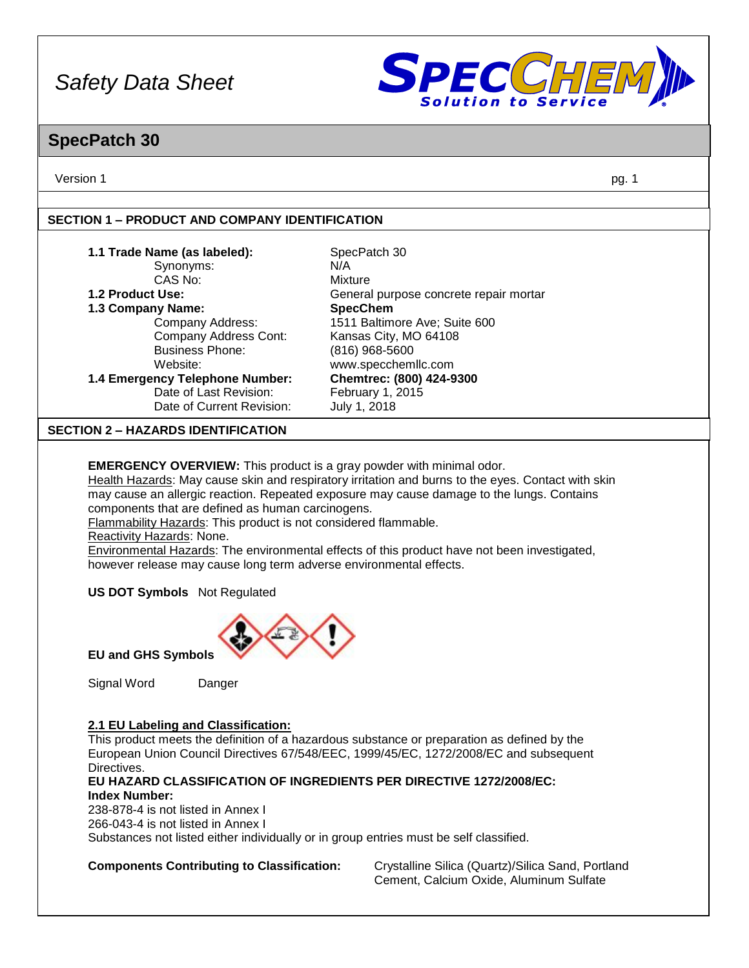

### **SpecPatch 30**

Version 1 pg. 1

#### **SECTION 1 – PRODUCT AND COMPANY IDENTIFICATION**

| 1.1 Trade Name (as labeled):              | SpecPatch 30                           |
|-------------------------------------------|----------------------------------------|
| Synonyms:                                 | N/A                                    |
| CAS No:                                   | Mixture                                |
| 1.2 Product Use:                          | General purpose concrete repair mortar |
| 1.3 Company Name:                         | <b>SpecChem</b>                        |
| Company Address:                          | 1511 Baltimore Ave; Suite 600          |
| Company Address Cont:                     | Kansas City, MO 64108                  |
| <b>Business Phone:</b>                    | $(816)$ 968-5600                       |
| Website:                                  | www.specchemllc.com                    |
| 1.4 Emergency Telephone Number:           | Chemtrec: (800) 424-9300               |
| Date of Last Revision:                    | February 1, 2015                       |
| Date of Current Revision:                 | July 1, 2018                           |
| <b>SECTION 2 - HAZARDS IDENTIFICATION</b> |                                        |
|                                           |                                        |

**EMERGENCY OVERVIEW:** This product is a gray powder with minimal odor.

Health Hazards: May cause skin and respiratory irritation and burns to the eyes. Contact with skin may cause an allergic reaction. Repeated exposure may cause damage to the lungs. Contains components that are defined as human carcinogens.

Flammability Hazards: This product is not considered flammable.

Reactivity Hazards: None.

Environmental Hazards: The environmental effects of this product have not been investigated, however release may cause long term adverse environmental effects.

**US DOT Symbols** Not Regulated



**EU and GHS Symbols**

Signal Word Danger

#### **2.1 EU Labeling and Classification:**

This product meets the definition of a hazardous substance or preparation as defined by the European Union Council Directives 67/548/EEC, 1999/45/EC, 1272/2008/EC and subsequent Directives.

#### **EU HAZARD CLASSIFICATION OF INGREDIENTS PER DIRECTIVE 1272/2008/EC: Index Number:**

238-878-4 is not listed in Annex I 266-043-4 is not listed in Annex I Substances not listed either individually or in group entries must be self classified.

**Components Contributing to Classification:** Crystalline Silica (Quartz)/Silica Sand, Portland Cement, Calcium Oxide, Aluminum Sulfate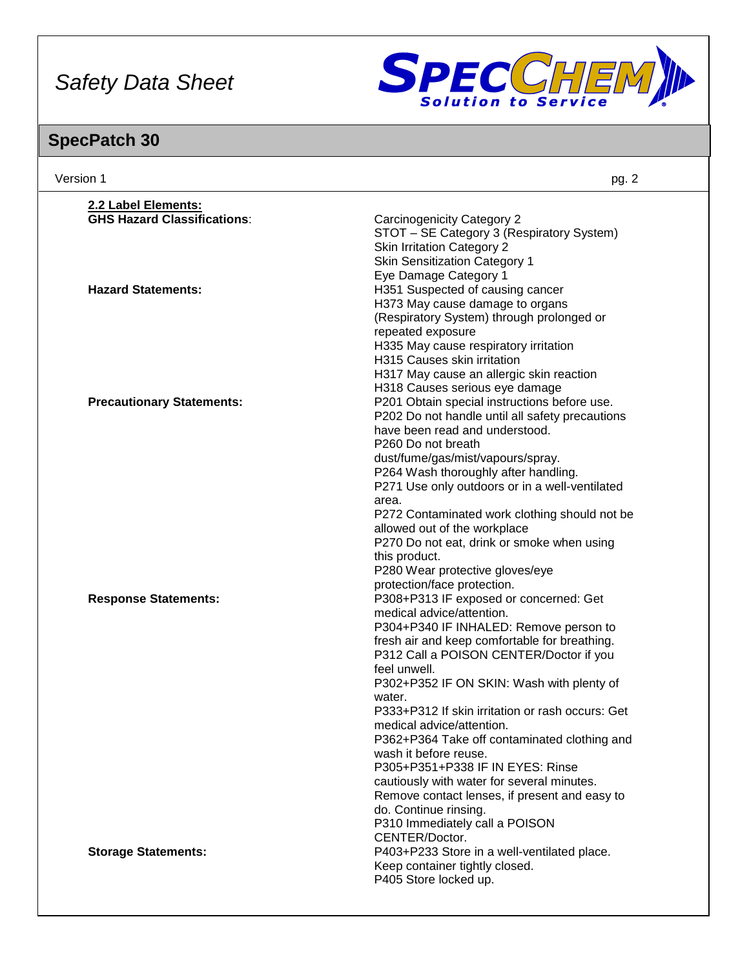

| Version 1                          | pg. 2                                                                                           |
|------------------------------------|-------------------------------------------------------------------------------------------------|
| 2.2 Label Elements:                |                                                                                                 |
| <b>GHS Hazard Classifications:</b> | <b>Carcinogenicity Category 2</b>                                                               |
|                                    | STOT - SE Category 3 (Respiratory System)                                                       |
|                                    | <b>Skin Irritation Category 2</b>                                                               |
|                                    | <b>Skin Sensitization Category 1</b>                                                            |
|                                    | Eye Damage Category 1                                                                           |
| <b>Hazard Statements:</b>          | H351 Suspected of causing cancer                                                                |
|                                    | H373 May cause damage to organs                                                                 |
|                                    | (Respiratory System) through prolonged or                                                       |
|                                    | repeated exposure                                                                               |
|                                    | H335 May cause respiratory irritation                                                           |
|                                    | H315 Causes skin irritation                                                                     |
|                                    | H317 May cause an allergic skin reaction                                                        |
|                                    | H318 Causes serious eye damage                                                                  |
| <b>Precautionary Statements:</b>   | P201 Obtain special instructions before use.<br>P202 Do not handle until all safety precautions |
|                                    | have been read and understood.                                                                  |
|                                    | P260 Do not breath                                                                              |
|                                    | dust/fume/gas/mist/vapours/spray.                                                               |
|                                    | P264 Wash thoroughly after handling.                                                            |
|                                    | P271 Use only outdoors or in a well-ventilated                                                  |
|                                    | area.                                                                                           |
|                                    | P272 Contaminated work clothing should not be                                                   |
|                                    | allowed out of the workplace                                                                    |
|                                    | P270 Do not eat, drink or smoke when using                                                      |
|                                    | this product.                                                                                   |
|                                    | P280 Wear protective gloves/eye                                                                 |
|                                    | protection/face protection.                                                                     |
| <b>Response Statements:</b>        | P308+P313 IF exposed or concerned: Get<br>medical advice/attention.                             |
|                                    | P304+P340 IF INHALED: Remove person to                                                          |
|                                    | fresh air and keep comfortable for breathing.                                                   |
|                                    | P312 Call a POISON CENTER/Doctor if you                                                         |
|                                    | feel unwell.                                                                                    |
|                                    | P302+P352 IF ON SKIN: Wash with plenty of                                                       |
|                                    | water.                                                                                          |
|                                    | P333+P312 If skin irritation or rash occurs: Get                                                |
|                                    | medical advice/attention.                                                                       |
|                                    | P362+P364 Take off contaminated clothing and                                                    |
|                                    | wash it before reuse.                                                                           |
|                                    | P305+P351+P338 IF IN EYES: Rinse                                                                |
|                                    | cautiously with water for several minutes.<br>Remove contact lenses, if present and easy to     |
|                                    | do. Continue rinsing.                                                                           |
|                                    | P310 Immediately call a POISON                                                                  |
|                                    | CENTER/Doctor.                                                                                  |
| <b>Storage Statements:</b>         | P403+P233 Store in a well-ventilated place.                                                     |
|                                    | Keep container tightly closed.                                                                  |
|                                    | P405 Store locked up.                                                                           |
|                                    |                                                                                                 |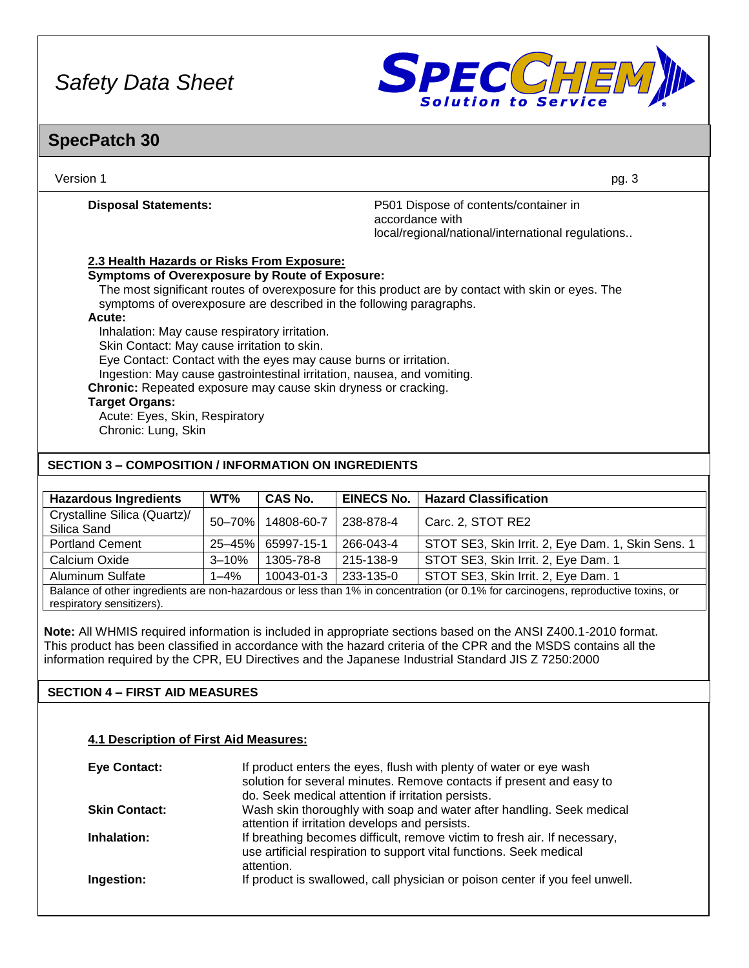

### **SpecPatch 30**

| Version 1                                                                                                                                                                 | pg. 3                                                                                                         |
|---------------------------------------------------------------------------------------------------------------------------------------------------------------------------|---------------------------------------------------------------------------------------------------------------|
| <b>Disposal Statements:</b>                                                                                                                                               | P501 Dispose of contents/container in<br>accordance with<br>local/regional/national/international regulations |
| 2.3 Health Hazards or Risks From Exposure:                                                                                                                                |                                                                                                               |
| <b>Symptoms of Overexposure by Route of Exposure:</b>                                                                                                                     |                                                                                                               |
| The most significant routes of overexposure for this product are by contact with skin or eyes. The<br>symptoms of overexposure are described in the following paragraphs. |                                                                                                               |
| Acute:<br>Inhalation: May cause respiratory irritation.                                                                                                                   |                                                                                                               |
| Skin Contact: May cause irritation to skin.                                                                                                                               |                                                                                                               |
| Eye Contact: Contact with the eyes may cause burns or irritation.                                                                                                         |                                                                                                               |
| Ingestion: May cause gastrointestinal irritation, nausea, and vomiting.                                                                                                   |                                                                                                               |
| Chronic: Repeated exposure may cause skin dryness or cracking.                                                                                                            |                                                                                                               |
| <b>Target Organs:</b>                                                                                                                                                     |                                                                                                               |
| Acute: Eyes, Skin, Respiratory                                                                                                                                            |                                                                                                               |
| Chronic: Lung, Skin                                                                                                                                                       |                                                                                                               |
| <b>SECTION 3 – COMPOSITION / INFORMATION ON INGREDIENTS</b>                                                                                                               |                                                                                                               |

| <b>Hazardous Ingredients</b>                                                                                                      | WT%         | <b>CAS No.</b> | <b>EINECS No.</b> | <b>Hazard Classification</b>                      |
|-----------------------------------------------------------------------------------------------------------------------------------|-------------|----------------|-------------------|---------------------------------------------------|
| Crystalline Silica (Quartz)/<br>Silica Sand                                                                                       | 50-70%      | 14808-60-7     | 238-878-4         | Carc. 2, STOT RE2                                 |
| <b>Portland Cement</b>                                                                                                            | $25 - 45\%$ | 65997-15-1     | 266-043-4         | STOT SE3, Skin Irrit. 2, Eye Dam. 1, Skin Sens. 1 |
| Calcium Oxide                                                                                                                     | $3 - 10%$   | 1305-78-8      | 215-138-9         | STOT SE3, Skin Irrit. 2, Eye Dam. 1               |
| Aluminum Sulfate                                                                                                                  | $1 - 4\%$   | 10043-01-3     | 233-135-0         | STOT SE3, Skin Irrit. 2, Eye Dam. 1               |
| Balance of other ingredients are non-hazardous or less than 1% in concentration (or 0.1% for carcinogens, reproductive toxins, or |             |                |                   |                                                   |

Balance of other ingredients are non-hazardous or less than 1% in concentration (or 0.1% for carcinogens, reproductive toxins, or respiratory sensitizers).

**Note:** All WHMIS required information is included in appropriate sections based on the ANSI Z400.1-2010 format. This product has been classified in accordance with the hazard criteria of the CPR and the MSDS contains all the information required by the CPR, EU Directives and the Japanese Industrial Standard JIS Z 7250:2000

#### **SECTION 4 – FIRST AID MEASURES**

#### **4.1 Description of First Aid Measures:**

| <b>Eye Contact:</b>  | If product enters the eyes, flush with plenty of water or eye wash<br>solution for several minutes. Remove contacts if present and easy to<br>do. Seek medical attention if irritation persists. |
|----------------------|--------------------------------------------------------------------------------------------------------------------------------------------------------------------------------------------------|
| <b>Skin Contact:</b> | Wash skin thoroughly with soap and water after handling. Seek medical<br>attention if irritation develops and persists.                                                                          |
| Inhalation:          | If breathing becomes difficult, remove victim to fresh air. If necessary,<br>use artificial respiration to support vital functions. Seek medical<br>attention.                                   |
| Ingestion:           | If product is swallowed, call physician or poison center if you feel unwell.                                                                                                                     |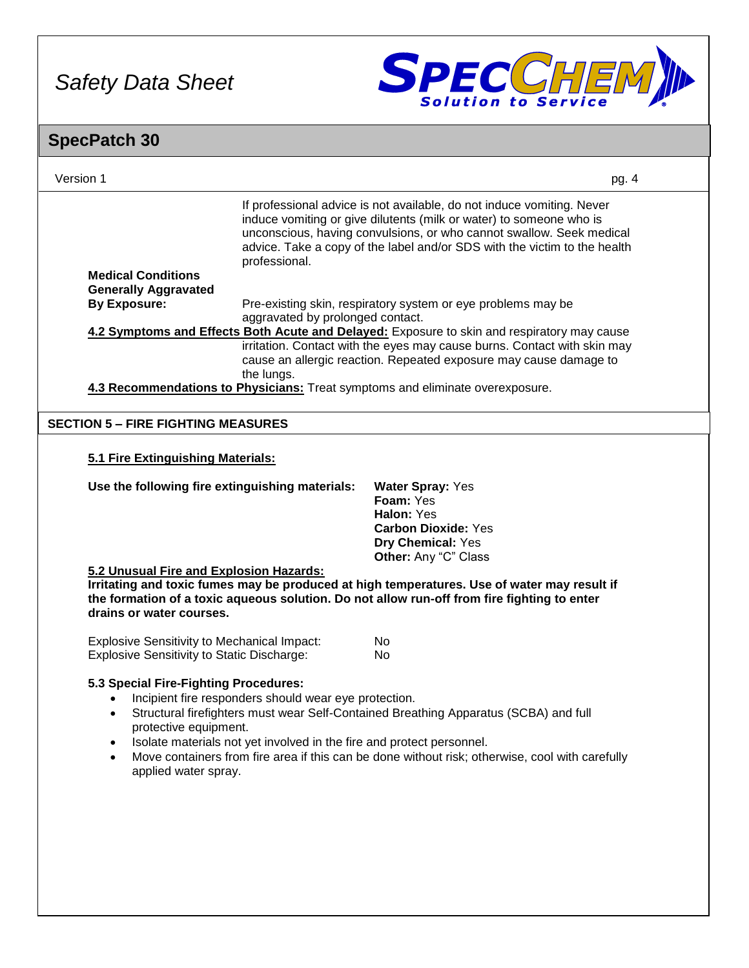

### Version 1 pg. 4 **SpecPatch 30** If professional advice is not available, do not induce vomiting. Never induce vomiting or give dilutents (milk or water) to someone who is unconscious, having convulsions, or who cannot swallow. Seek medical advice. Take a copy of the label and/or SDS with the victim to the health professional. **Medical Conditions Generally Aggravated By Exposure:** Pre-existing skin, respiratory system or eye problems may be aggravated by prolonged contact. **4.2 Symptoms and Effects Both Acute and Delayed:** Exposure to skin and respiratory may cause irritation. Contact with the eyes may cause burns. Contact with skin may cause an allergic reaction. Repeated exposure may cause damage to the lungs. **4.3 Recommendations to Physicians:** Treat symptoms and eliminate overexposure. **5.1 Fire Extinguishing Materials: Use the following fire extinguishing materials: Water Spray:** Yes **Foam:** Yes **Halon:** Yes **Carbon Dioxide:** Yes **Dry Chemical:** Yes **Other:** Any "C" Class **5.2 Unusual Fire and Explosion Hazards: Irritating and toxic fumes may be produced at high temperatures. Use of water may result if the formation of a toxic aqueous solution. Do not allow run-off from fire fighting to enter drains or water courses.** Explosive Sensitivity to Mechanical Impact: No Explosive Sensitivity to Static Discharge: No **5.3 Special Fire-Fighting Procedures:** • Incipient fire responders should wear eye protection. • Structural firefighters must wear Self-Contained Breathing Apparatus (SCBA) and full protective equipment. • Isolate materials not yet involved in the fire and protect personnel. • Move containers from fire area if this can be done without risk; otherwise, cool with carefully applied water spray. **SECTION 5 – FIRE FIGHTING MEASURES**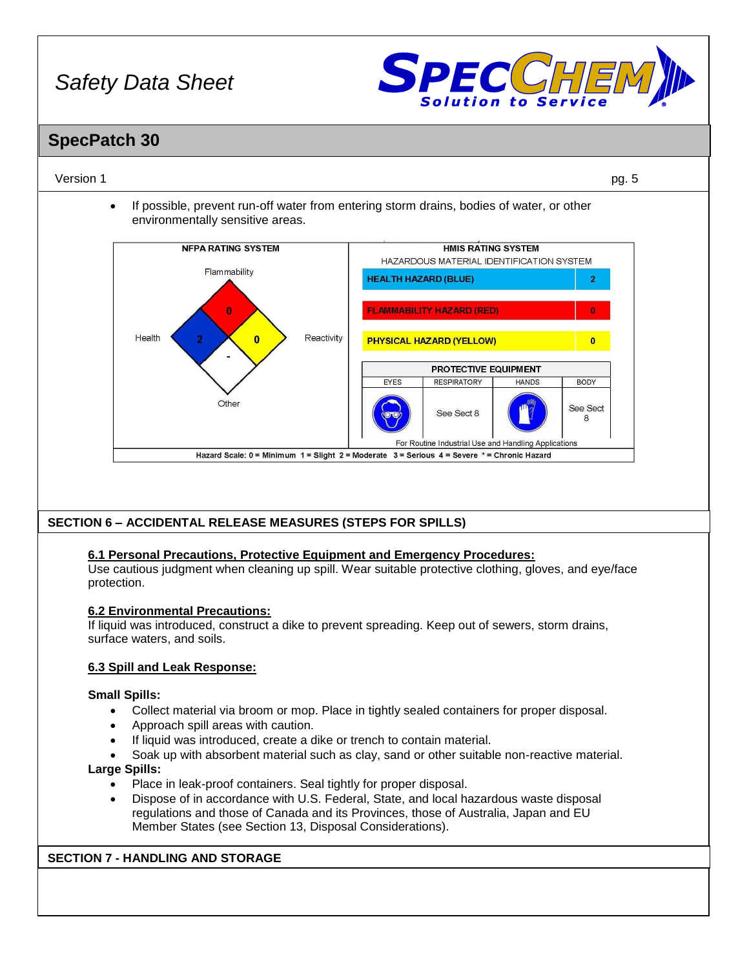

### **SpecPatch 30**

#### Version 1 pg. 5

• If possible, prevent run-off water from entering storm drains, bodies of water, or other environmentally sensitive areas.



#### **SECTION 6 – ACCIDENTAL RELEASE MEASURES (STEPS FOR SPILLS)**

#### **6.1 Personal Precautions, Protective Equipment and Emergency Procedures:**

Use cautious judgment when cleaning up spill. Wear suitable protective clothing, gloves, and eye/face protection.

#### **6.2 Environmental Precautions:**

If liquid was introduced, construct a dike to prevent spreading. Keep out of sewers, storm drains, surface waters, and soils.

#### **6.3 Spill and Leak Response:**

#### **Small Spills:**

- Collect material via broom or mop. Place in tightly sealed containers for proper disposal.
- Approach spill areas with caution.
- If liquid was introduced, create a dike or trench to contain material.
- Soak up with absorbent material such as clay, sand or other suitable non-reactive material.

#### **Large Spills:**

- Place in leak-proof containers. Seal tightly for proper disposal.
- Dispose of in accordance with U.S. Federal, State, and local hazardous waste disposal regulations and those of Canada and its Provinces, those of Australia, Japan and EU Member States (see Section 13, Disposal Considerations).

#### **SECTION 7 - HANDLING AND STORAGE**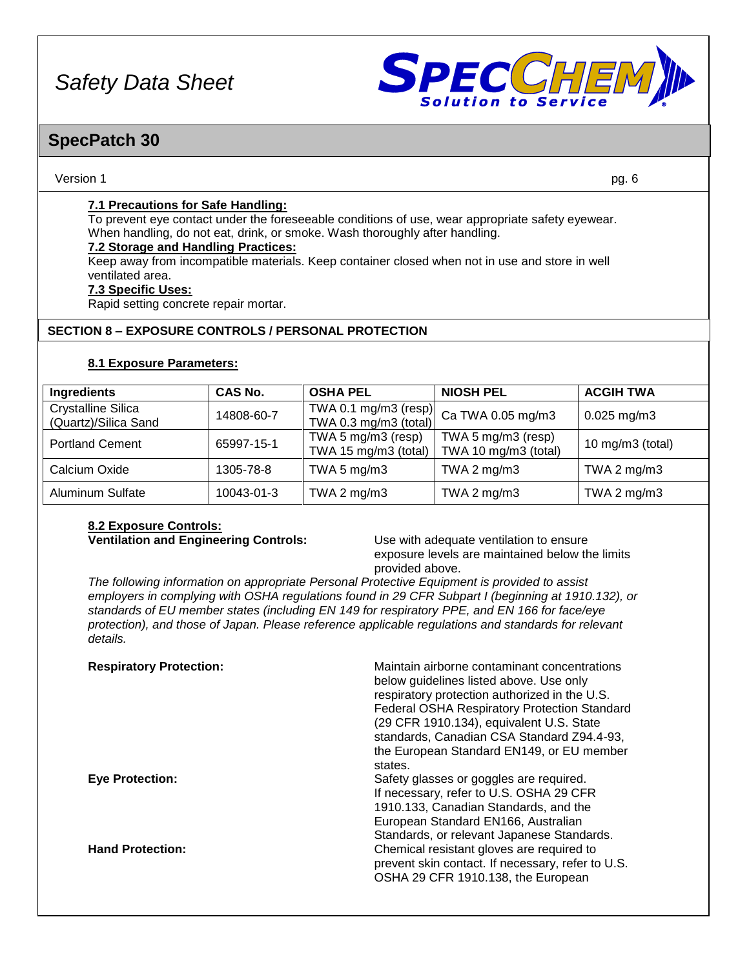

### **SpecPatch 30**

#### Version 1 pg. 6

#### **7.1 Precautions for Safe Handling:**

To prevent eye contact under the foreseeable conditions of use, wear appropriate safety eyewear. When handling, do not eat, drink, or smoke. Wash thoroughly after handling.

#### **7.2 Storage and Handling Practices:**

Keep away from incompatible materials. Keep container closed when not in use and store in well ventilated area.

#### **7.3 Specific Uses:**

Rapid setting concrete repair mortar.

#### **SECTION 8 – EXPOSURE CONTROLS / PERSONAL PROTECTION**

#### **8.1 Exposure Parameters:**

| Ingredients                                       | <b>CAS No.</b> | <b>OSHA PEL</b>                            | <b>NIOSH PEL</b>                                     | <b>ACGIH TWA</b>    |
|---------------------------------------------------|----------------|--------------------------------------------|------------------------------------------------------|---------------------|
| <b>Crystalline Silica</b><br>(Quartz)/Silica Sand | 14808-60-7     | TWA 0.3 mg/m3 (total)                      | $\frac{1}{2}$ TWA 0.1 mg/m3 (resp) Ca TWA 0.05 mg/m3 | $0.025$ mg/m3       |
| <b>Portland Cement</b>                            | 65997-15-1     | TWA 5 mg/m3 (resp)<br>TWA 15 mg/m3 (total) | TWA 5 mg/m3 (resp)<br>TWA 10 mg/m3 (total)           | 10 mg/m $3$ (total) |
| Calcium Oxide                                     | 1305-78-8      | TWA 5 $mg/m3$                              | TWA 2 $mg/m3$                                        | TWA 2 $mg/m3$       |
| <b>Aluminum Sulfate</b>                           | 10043-01-3     | TWA 2 $mg/m3$                              | TWA 2 $mg/m3$                                        | TWA 2 $mg/m3$       |

# **8.2 Exposure Controls:**

**Ventilation and Engineering Controls:** Use with adequate ventilation to ensure exposure levels are maintained below the limits provided above.

*The following information on appropriate Personal Protective Equipment is provided to assist employers in complying with OSHA regulations found in 29 CFR Subpart I (beginning at 1910.132), or standards of EU member states (including EN 149 for respiratory PPE, and EN 166 for face/eye protection), and those of Japan. Please reference applicable regulations and standards for relevant details.*

| <b>Respiratory Protection:</b> | Maintain airborne contaminant concentrations<br>below guidelines listed above. Use only<br>respiratory protection authorized in the U.S.<br><b>Federal OSHA Respiratory Protection Standard</b><br>(29 CFR 1910.134), equivalent U.S. State<br>standards, Canadian CSA Standard Z94.4-93,<br>the European Standard EN149, or EU member<br>states. |
|--------------------------------|---------------------------------------------------------------------------------------------------------------------------------------------------------------------------------------------------------------------------------------------------------------------------------------------------------------------------------------------------|
| <b>Eye Protection:</b>         | Safety glasses or goggles are required.<br>If necessary, refer to U.S. OSHA 29 CFR<br>1910.133, Canadian Standards, and the<br>European Standard EN166, Australian<br>Standards, or relevant Japanese Standards.                                                                                                                                  |
| <b>Hand Protection:</b>        | Chemical resistant gloves are required to<br>prevent skin contact. If necessary, refer to U.S.<br>OSHA 29 CFR 1910.138, the European                                                                                                                                                                                                              |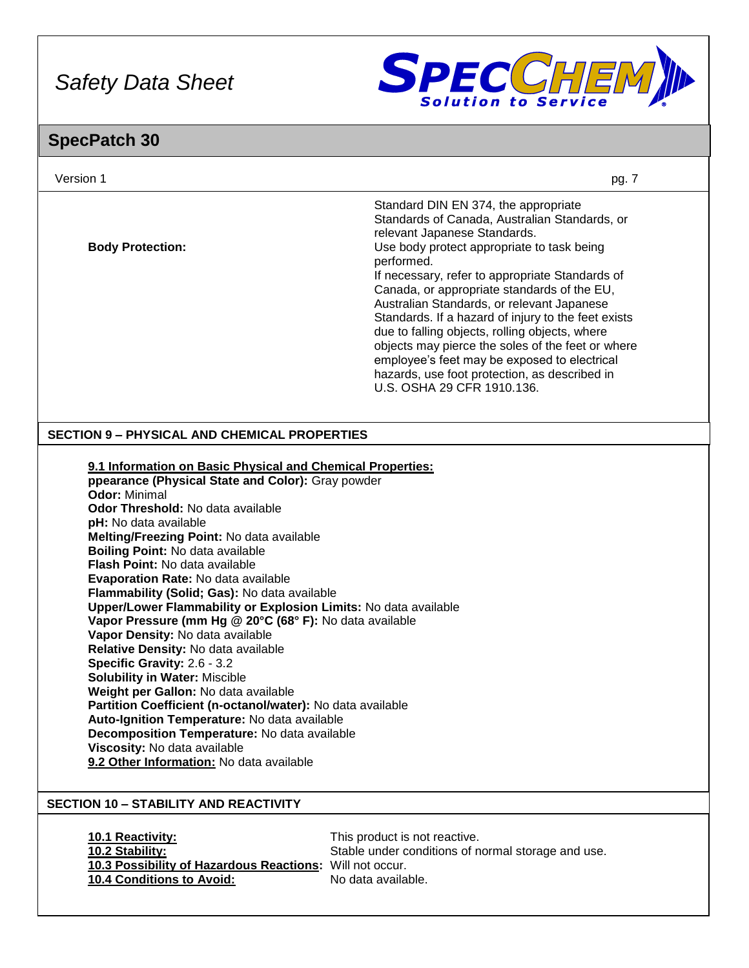

| Version 1                                                                                                                                                                                                                                                                                                                                                                                                                                                                                                                                                                                                                                                                                                                                                                                                                                                                                                                                                                         | pg. 7                                                                                                                                                                                                                                                                                                                                                                                                                                                                                                                                                                                                                          |
|-----------------------------------------------------------------------------------------------------------------------------------------------------------------------------------------------------------------------------------------------------------------------------------------------------------------------------------------------------------------------------------------------------------------------------------------------------------------------------------------------------------------------------------------------------------------------------------------------------------------------------------------------------------------------------------------------------------------------------------------------------------------------------------------------------------------------------------------------------------------------------------------------------------------------------------------------------------------------------------|--------------------------------------------------------------------------------------------------------------------------------------------------------------------------------------------------------------------------------------------------------------------------------------------------------------------------------------------------------------------------------------------------------------------------------------------------------------------------------------------------------------------------------------------------------------------------------------------------------------------------------|
| <b>Body Protection:</b>                                                                                                                                                                                                                                                                                                                                                                                                                                                                                                                                                                                                                                                                                                                                                                                                                                                                                                                                                           | Standard DIN EN 374, the appropriate<br>Standards of Canada, Australian Standards, or<br>relevant Japanese Standards.<br>Use body protect appropriate to task being<br>performed.<br>If necessary, refer to appropriate Standards of<br>Canada, or appropriate standards of the EU,<br>Australian Standards, or relevant Japanese<br>Standards. If a hazard of injury to the feet exists<br>due to falling objects, rolling objects, where<br>objects may pierce the soles of the feet or where<br>employee's feet may be exposed to electrical<br>hazards, use foot protection, as described in<br>U.S. OSHA 29 CFR 1910.136. |
| <b>SECTION 9 - PHYSICAL AND CHEMICAL PROPERTIES</b>                                                                                                                                                                                                                                                                                                                                                                                                                                                                                                                                                                                                                                                                                                                                                                                                                                                                                                                               |                                                                                                                                                                                                                                                                                                                                                                                                                                                                                                                                                                                                                                |
| 9.1 Information on Basic Physical and Chemical Properties:<br>ppearance (Physical State and Color): Gray powder<br>Odor: Minimal<br>Odor Threshold: No data available<br>pH: No data available<br>Melting/Freezing Point: No data available<br>Boiling Point: No data available<br><b>Flash Point: No data available</b><br>Evaporation Rate: No data available<br>Flammability (Solid; Gas): No data available<br>Upper/Lower Flammability or Explosion Limits: No data available<br>Vapor Pressure (mm Hg @ 20°C (68° F): No data available<br>Vapor Density: No data available<br>Relative Density: No data available<br>Specific Gravity: 2.6 - 3.2<br><b>Solubility in Water: Miscible</b><br>Weight per Gallon: No data available<br>Partition Coefficient (n-octanol/water): No data available<br>Auto-Ignition Temperature: No data available<br>Decomposition Temperature: No data available<br>Viscosity: No data available<br>9.2 Other Information: No data available |                                                                                                                                                                                                                                                                                                                                                                                                                                                                                                                                                                                                                                |
| <b>SECTION 10 - STABILITY AND REACTIVITY</b>                                                                                                                                                                                                                                                                                                                                                                                                                                                                                                                                                                                                                                                                                                                                                                                                                                                                                                                                      |                                                                                                                                                                                                                                                                                                                                                                                                                                                                                                                                                                                                                                |
| 10.1 Reactivity:<br>10.2 Stability:<br>10.3 Possibility of Hazardous Reactions: Will not occur.<br>10.4 Conditions to Avoid:                                                                                                                                                                                                                                                                                                                                                                                                                                                                                                                                                                                                                                                                                                                                                                                                                                                      | This product is not reactive.<br>Stable under conditions of normal storage and use.<br>No data available.                                                                                                                                                                                                                                                                                                                                                                                                                                                                                                                      |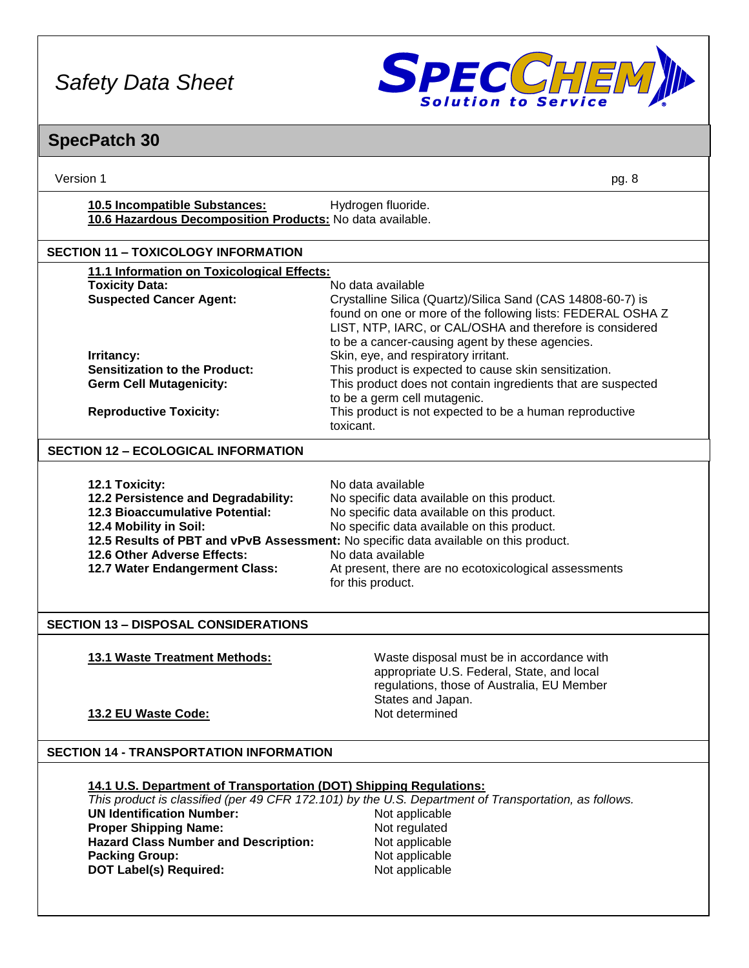

| Version 1                                                                                                                                                                                                                                       | pg. 8                                                                                                                                                                                                                                                                                                                                                     |  |  |
|-------------------------------------------------------------------------------------------------------------------------------------------------------------------------------------------------------------------------------------------------|-----------------------------------------------------------------------------------------------------------------------------------------------------------------------------------------------------------------------------------------------------------------------------------------------------------------------------------------------------------|--|--|
| 10.5 Incompatible Substances:<br>Hydrogen fluoride.<br>10.6 Hazardous Decomposition Products: No data available.                                                                                                                                |                                                                                                                                                                                                                                                                                                                                                           |  |  |
| <b>SECTION 11 - TOXICOLOGY INFORMATION</b>                                                                                                                                                                                                      |                                                                                                                                                                                                                                                                                                                                                           |  |  |
| 11.1 Information on Toxicological Effects:                                                                                                                                                                                                      |                                                                                                                                                                                                                                                                                                                                                           |  |  |
| <b>Toxicity Data:</b><br><b>Suspected Cancer Agent:</b>                                                                                                                                                                                         | No data available<br>Crystalline Silica (Quartz)/Silica Sand (CAS 14808-60-7) is<br>found on one or more of the following lists: FEDERAL OSHA Z<br>LIST, NTP, IARC, or CAL/OSHA and therefore is considered<br>to be a cancer-causing agent by these agencies.                                                                                            |  |  |
| Irritancy:                                                                                                                                                                                                                                      | Skin, eye, and respiratory irritant.                                                                                                                                                                                                                                                                                                                      |  |  |
| <b>Sensitization to the Product:</b><br><b>Germ Cell Mutagenicity:</b>                                                                                                                                                                          | This product is expected to cause skin sensitization.<br>This product does not contain ingredients that are suspected                                                                                                                                                                                                                                     |  |  |
|                                                                                                                                                                                                                                                 | to be a germ cell mutagenic.                                                                                                                                                                                                                                                                                                                              |  |  |
| <b>Reproductive Toxicity:</b>                                                                                                                                                                                                                   | This product is not expected to be a human reproductive<br>toxicant.                                                                                                                                                                                                                                                                                      |  |  |
| <b>SECTION 12 - ECOLOGICAL INFORMATION</b>                                                                                                                                                                                                      |                                                                                                                                                                                                                                                                                                                                                           |  |  |
| 12.1 Toxicity:<br>12.2 Persistence and Degradability:<br>12.3 Bioaccumulative Potential:<br>12.4 Mobility in Soil:<br>12.6 Other Adverse Effects:<br>12.7 Water Endangerment Class:                                                             | No data available<br>No specific data available on this product.<br>No specific data available on this product.<br>No specific data available on this product.<br>12.5 Results of PBT and vPvB Assessment: No specific data available on this product.<br>No data available<br>At present, there are no ecotoxicological assessments<br>for this product. |  |  |
| <b>SECTION 13 - DISPOSAL CONSIDERATIONS</b>                                                                                                                                                                                                     |                                                                                                                                                                                                                                                                                                                                                           |  |  |
| 13.1 Waste Treatment Methods:<br>13.2 EU Waste Code:                                                                                                                                                                                            | Waste disposal must be in accordance with<br>appropriate U.S. Federal, State, and local<br>regulations, those of Australia, EU Member<br>States and Japan.<br>Not determined                                                                                                                                                                              |  |  |
| <b>SECTION 14 - TRANSPORTATION INFORMATION</b>                                                                                                                                                                                                  |                                                                                                                                                                                                                                                                                                                                                           |  |  |
| 14.1 U.S. Department of Transportation (DOT) Shipping Regulations:<br><b>UN Identification Number:</b><br><b>Proper Shipping Name:</b><br><b>Hazard Class Number and Description:</b><br><b>Packing Group:</b><br><b>DOT Label(s) Required:</b> | This product is classified (per 49 CFR 172.101) by the U.S. Department of Transportation, as follows.<br>Not applicable<br>Not regulated<br>Not applicable<br>Not applicable<br>Not applicable                                                                                                                                                            |  |  |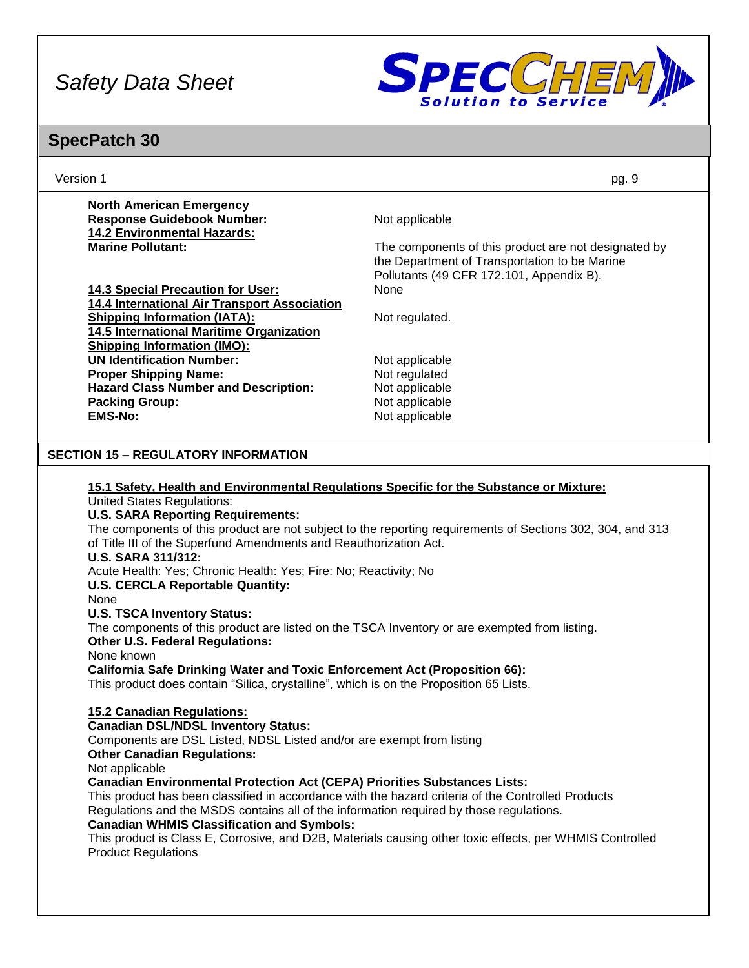

| Version 1                                                                                                                                                                                                                                                                                                                                                                                                                                                                                                                                                                                                                                                                                                                                                                                                                                                                                                                                                                                                                                                                                                                                                                                                                                                                                                                                                             | pg. 9                                                                                                                                                                                                                  |
|-----------------------------------------------------------------------------------------------------------------------------------------------------------------------------------------------------------------------------------------------------------------------------------------------------------------------------------------------------------------------------------------------------------------------------------------------------------------------------------------------------------------------------------------------------------------------------------------------------------------------------------------------------------------------------------------------------------------------------------------------------------------------------------------------------------------------------------------------------------------------------------------------------------------------------------------------------------------------------------------------------------------------------------------------------------------------------------------------------------------------------------------------------------------------------------------------------------------------------------------------------------------------------------------------------------------------------------------------------------------------|------------------------------------------------------------------------------------------------------------------------------------------------------------------------------------------------------------------------|
| <b>North American Emergency</b><br><b>Response Guidebook Number:</b>                                                                                                                                                                                                                                                                                                                                                                                                                                                                                                                                                                                                                                                                                                                                                                                                                                                                                                                                                                                                                                                                                                                                                                                                                                                                                                  | Not applicable                                                                                                                                                                                                         |
| 14.2 Environmental Hazards:<br><b>Marine Pollutant:</b>                                                                                                                                                                                                                                                                                                                                                                                                                                                                                                                                                                                                                                                                                                                                                                                                                                                                                                                                                                                                                                                                                                                                                                                                                                                                                                               | The components of this product are not designated by<br>the Department of Transportation to be Marine                                                                                                                  |
| 14.3 Special Precaution for User:                                                                                                                                                                                                                                                                                                                                                                                                                                                                                                                                                                                                                                                                                                                                                                                                                                                                                                                                                                                                                                                                                                                                                                                                                                                                                                                                     | Pollutants (49 CFR 172.101, Appendix B).<br>None                                                                                                                                                                       |
| 14.4 International Air Transport Association<br><b>Shipping Information (IATA):</b>                                                                                                                                                                                                                                                                                                                                                                                                                                                                                                                                                                                                                                                                                                                                                                                                                                                                                                                                                                                                                                                                                                                                                                                                                                                                                   | Not regulated.                                                                                                                                                                                                         |
| 14.5 International Maritime Organization<br><b>Shipping Information (IMO):</b>                                                                                                                                                                                                                                                                                                                                                                                                                                                                                                                                                                                                                                                                                                                                                                                                                                                                                                                                                                                                                                                                                                                                                                                                                                                                                        |                                                                                                                                                                                                                        |
| <b>UN Identification Number:</b><br><b>Proper Shipping Name:</b>                                                                                                                                                                                                                                                                                                                                                                                                                                                                                                                                                                                                                                                                                                                                                                                                                                                                                                                                                                                                                                                                                                                                                                                                                                                                                                      | Not applicable<br>Not regulated                                                                                                                                                                                        |
| <b>Hazard Class Number and Description:</b><br><b>Packing Group:</b>                                                                                                                                                                                                                                                                                                                                                                                                                                                                                                                                                                                                                                                                                                                                                                                                                                                                                                                                                                                                                                                                                                                                                                                                                                                                                                  | Not applicable<br>Not applicable                                                                                                                                                                                       |
| <b>EMS-No:</b>                                                                                                                                                                                                                                                                                                                                                                                                                                                                                                                                                                                                                                                                                                                                                                                                                                                                                                                                                                                                                                                                                                                                                                                                                                                                                                                                                        | Not applicable                                                                                                                                                                                                         |
| <b>SECTION 15 - REGULATORY INFORMATION</b>                                                                                                                                                                                                                                                                                                                                                                                                                                                                                                                                                                                                                                                                                                                                                                                                                                                                                                                                                                                                                                                                                                                                                                                                                                                                                                                            |                                                                                                                                                                                                                        |
| 15.1 Safety, Health and Environmental Regulations Specific for the Substance or Mixture:<br><b>United States Regulations:</b><br><b>U.S. SARA Reporting Requirements:</b><br>of Title III of the Superfund Amendments and Reauthorization Act.<br><b>U.S. SARA 311/312:</b><br>Acute Health: Yes; Chronic Health: Yes; Fire: No; Reactivity; No<br><b>U.S. CERCLA Reportable Quantity:</b><br>None<br><b>U.S. TSCA Inventory Status:</b><br>The components of this product are listed on the TSCA Inventory or are exempted from listing.<br><b>Other U.S. Federal Regulations:</b><br>None known<br><b>California Safe Drinking Water and Toxic Enforcement Act (Proposition 66):</b><br>This product does contain "Silica, crystalline", which is on the Proposition 65 Lists.<br>15.2 Canadian Regulations:<br><b>Canadian DSL/NDSL Inventory Status:</b><br>Components are DSL Listed, NDSL Listed and/or are exempt from listing<br><b>Other Canadian Regulations:</b><br>Not applicable<br><b>Canadian Environmental Protection Act (CEPA) Priorities Substances Lists:</b><br>This product has been classified in accordance with the hazard criteria of the Controlled Products<br>Regulations and the MSDS contains all of the information required by those regulations.<br><b>Canadian WHMIS Classification and Symbols:</b><br><b>Product Regulations</b> | The components of this product are not subject to the reporting requirements of Sections 302, 304, and 313<br>This product is Class E, Corrosive, and D2B, Materials causing other toxic effects, per WHMIS Controlled |